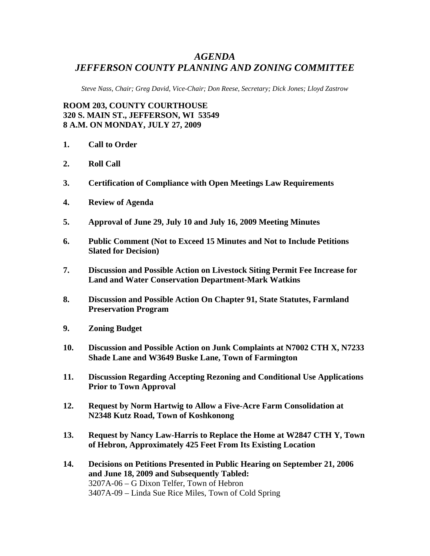## *AGENDA JEFFERSON COUNTY PLANNING AND ZONING COMMITTEE*

*Steve Nass, Chair; Greg David, Vice-Chair; Don Reese, Secretary; Dick Jones; Lloyd Zastrow* 

**ROOM 203, COUNTY COURTHOUSE 320 S. MAIN ST., JEFFERSON, WI 53549 8 A.M. ON MONDAY, JULY 27, 2009** 

- **1. Call to Order**
- **2. Roll Call**
- **3. Certification of Compliance with Open Meetings Law Requirements**
- **4. Review of Agenda**
- **5. Approval of June 29, July 10 and July 16, 2009 Meeting Minutes**
- **6. Public Comment (Not to Exceed 15 Minutes and Not to Include Petitions Slated for Decision)**
- **7. Discussion and Possible Action on Livestock Siting Permit Fee Increase for Land and Water Conservation Department-Mark Watkins**
- **8. Discussion and Possible Action On Chapter 91, State Statutes, Farmland Preservation Program**
- **9. Zoning Budget**
- **10. Discussion and Possible Action on Junk Complaints at N7002 CTH X, N7233 Shade Lane and W3649 Buske Lane, Town of Farmington**
- **11. Discussion Regarding Accepting Rezoning and Conditional Use Applications Prior to Town Approval**
- **12. Request by Norm Hartwig to Allow a Five-Acre Farm Consolidation at N2348 Kutz Road, Town of Koshkonong**
- **13. Request by Nancy Law-Harris to Replace the Home at W2847 CTH Y, Town of Hebron, Approximately 425 Feet From Its Existing Location**
- **14. Decisions on Petitions Presented in Public Hearing on September 21, 2006 and June 18, 2009 and Subsequently Tabled:**  3207A-06 – G Dixon Telfer, Town of Hebron 3407A-09 – Linda Sue Rice Miles, Town of Cold Spring